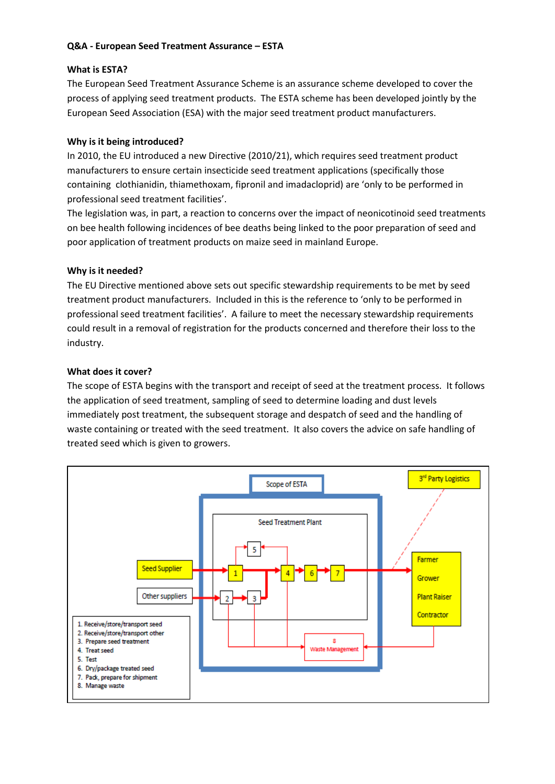# **Q&A - European Seed Treatment Assurance – ESTA**

### **What is ESTA?**

The European Seed Treatment Assurance Scheme is an assurance scheme developed to cover the process of applying seed treatment products. The ESTA scheme has been developed jointly by the European Seed Association (ESA) with the major seed treatment product manufacturers.

### **Why is it being introduced?**

In 2010, the EU introduced a new Directive (2010/21), which requires seed treatment product manufacturers to ensure certain insecticide seed treatment applications (specifically those containing clothianidin, thiamethoxam, fipronil and imadacloprid) are 'only to be performed in professional seed treatment facilities'.

The legislation was, in part, a reaction to concerns over the impact of neonicotinoid seed treatments on bee health following incidences of bee deaths being linked to the poor preparation of seed and poor application of treatment products on maize seed in mainland Europe.

# **Why is it needed?**

The EU Directive mentioned above sets out specific stewardship requirements to be met by seed treatment product manufacturers. Included in this is the reference to 'only to be performed in professional seed treatment facilities'. A failure to meet the necessary stewardship requirements could result in a removal of registration for the products concerned and therefore their loss to the industry.

# **What does it cover?**

The scope of ESTA begins with the transport and receipt of seed at the treatment process. It follows the application of seed treatment, sampling of seed to determine loading and dust levels immediately post treatment, the subsequent storage and despatch of seed and the handling of waste containing or treated with the seed treatment. It also covers the advice on safe handling of treated seed which is given to growers.